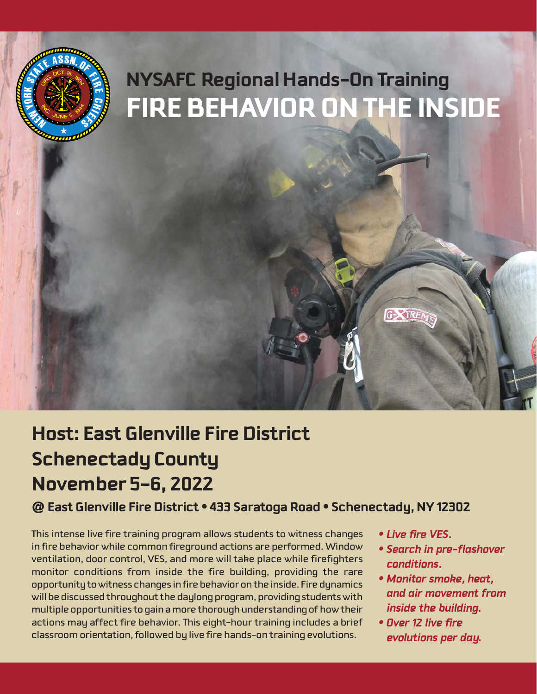

# **Host: East Glenville Fire District Schenectady County November 5-6, 2022**

# **@ East Glenville Fire District • 433 Saratoga Road • Schenectady, NY 12302**

This intense live fire training program allows students to witness changes in fire behavior while common fireground actions are performed. Window ventilation, door control, VES, and more will take place while firefighters monitor conditions from inside the fire building, providing the rare opportunity to witness changes in fire behavior on the inside. Fire dynamics will be discussed throughout the daylong program, providing students with multiple opportunities to gain a more thorough understanding of how their actions may affect fire behavior. This eight-hour training includes a brief classroom orientation, followed by live fire hands-on training evolutions.

- *Live fire VES.*
- *Search in pre-flashover conditions.*
- *Monitor smoke, heat, and air movement from inside the building.*
- *Over 12 live fire evolutions per day.*